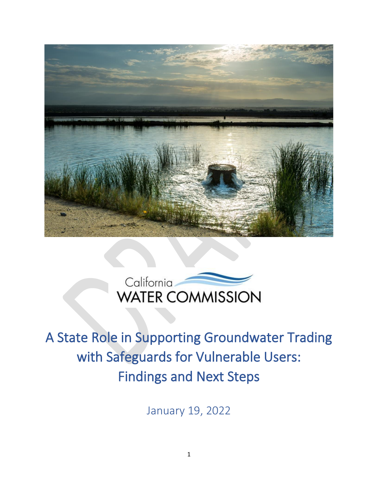



# A State Role in Supporting Groundwater Trading with Safeguards for Vulnerable Users: Findings and Next Steps

January 19, 2022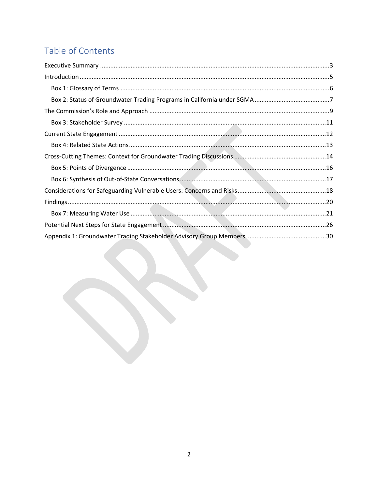# Table of Contents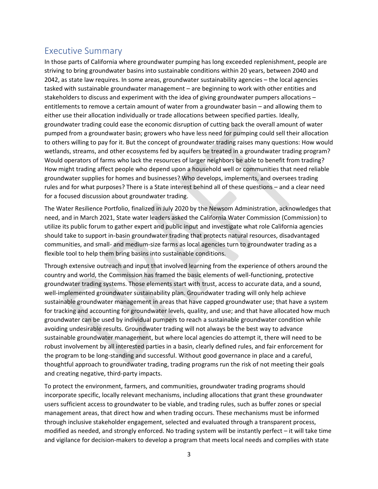### <span id="page-2-0"></span>Executive Summary

In those parts of California where groundwater pumping has long exceeded replenishment, people are striving to bring groundwater basins into sustainable conditions within 20 years, between 2040 and 2042, as state law requires. In some areas, groundwater sustainability agencies – the local agencies tasked with sustainable groundwater management – are beginning to work with other entities and stakeholders to discuss and experiment with the idea of giving groundwater pumpers allocations – entitlements to remove a certain amount of water from a groundwater basin – and allowing them to either use their allocation individually or trade allocations between specified parties. Ideally, groundwater trading could ease the economic disruption of cutting back the overall amount of water pumped from a groundwater basin; growers who have less need for pumping could sell their allocation to others willing to pay for it. But the concept of groundwater trading raises many questions: How would wetlands, streams, and other ecosystems fed by aquifers be treated in a groundwater trading program? Would operators of farms who lack the resources of larger neighbors be able to benefit from trading? How might trading affect people who depend upon a household well or communities that need reliable groundwater supplies for homes and businesses? Who develops, implements, and oversees trading rules and for what purposes? There is a State interest behind all of these questions – and a clear need for a focused discussion about groundwater trading.

The Water Resilience Portfolio, finalized in July 2020 by the Newsom Administration, acknowledges that need, and in March 2021, State water leaders asked the California Water Commission (Commission) to utilize its public forum to gather expert and public input and investigate what role California agencies should take to support in-basin groundwater trading that protects natural resources, disadvantaged communities, and small- and medium-size farms as local agencies turn to groundwater trading as a flexible tool to help them bring basins into sustainable conditions.

Through extensive outreach and input that involved learning from the experience of others around the country and world, the Commission has framed the basic elements of well-functioning, protective groundwater trading systems. Those elements start with trust, access to accurate data, and a sound, well-implemented groundwater sustainability plan. Groundwater trading will only help achieve sustainable groundwater management in areas that have capped groundwater use; that have a system for tracking and accounting for groundwater levels, quality, and use; and that have allocated how much groundwater can be used by individual pumpers to reach a sustainable groundwater condition while avoiding undesirable results. Groundwater trading will not always be the best way to advance sustainable groundwater management, but where local agencies do attempt it, there will need to be robust involvement by all interested parties in a basin, clearly defined rules, and fair enforcement for the program to be long-standing and successful. Without good governance in place and a careful, thoughtful approach to groundwater trading, trading programs run the risk of not meeting their goals and creating negative, third-party impacts.

To protect the environment, farmers, and communities, groundwater trading programs should incorporate specific, locally relevant mechanisms, including allocations that grant these groundwater users sufficient access to groundwater to be viable, and trading rules, such as buffer zones or special management areas, that direct how and when trading occurs. These mechanisms must be informed through inclusive stakeholder engagement, selected and evaluated through a transparent process, modified as needed, and strongly enforced. No trading system will be instantly perfect – it will take time and vigilance for decision-makers to develop a program that meets local needs and complies with state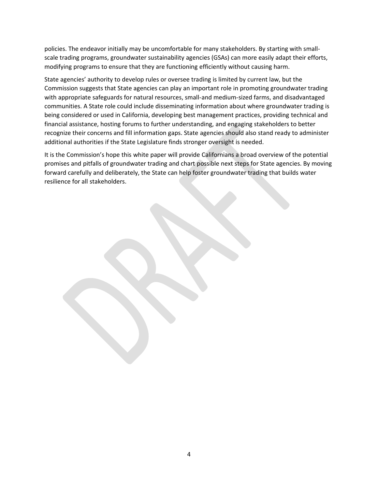policies. The endeavor initially may be uncomfortable for many stakeholders. By starting with smallscale trading programs, groundwater sustainability agencies (GSAs) can more easily adapt their efforts, modifying programs to ensure that they are functioning efficiently without causing harm.

State agencies' authority to develop rules or oversee trading is limited by current law, but the Commission suggests that State agencies can play an important role in promoting groundwater trading with appropriate safeguards for natural resources, small-and medium-sized farms, and disadvantaged communities. A State role could include disseminating information about where groundwater trading is being considered or used in California, developing best management practices, providing technical and financial assistance, hosting forums to further understanding, and engaging stakeholders to better recognize their concerns and fill information gaps. State agencies should also stand ready to administer additional authorities if the State Legislature finds stronger oversight is needed.

It is the Commission's hope this white paper will provide Californians a broad overview of the potential promises and pitfalls of groundwater trading and chart possible next steps for State agencies. By moving forward carefully and deliberately, the State can help foster groundwater trading that builds water resilience for all stakeholders.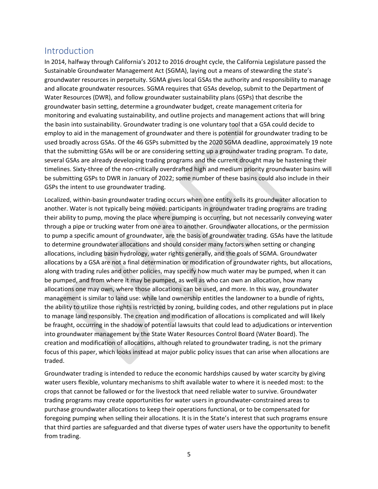### <span id="page-4-0"></span>Introduction

In 2014, halfway through California's 2012 to 2016 drought cycle, the California Legislature passed the Sustainable Groundwater Management Act (SGMA), laying out a means of stewarding the state's groundwater resources in perpetuity. SGMA gives local GSAs the authority and responsibility to manage and allocate groundwater resources. SGMA requires that GSAs develop, submit to the Department of Water Resources (DWR), and follow groundwater sustainability plans (GSPs) that describe the groundwater basin setting, determine a groundwater budget, create management criteria for monitoring and evaluating sustainability, and outline projects and management actions that will bring the basin into sustainability. Groundwater trading is one voluntary tool that a GSA could decide to employ to aid in the management of groundwater and there is potential for groundwater trading to be used broadly across GSAs. Of the 46 GSPs submitted by the 2020 SGMA deadline, approximately 19 note that the submitting GSAs will be or are considering setting up a groundwater trading program. To date, several GSAs are already developing trading programs and the current drought may be hastening their timelines. Sixty-three of the non-critically overdrafted high and medium priority groundwater basins will be submitting GSPs to DWR in January of 2022; some number of these basins could also include in their GSPs the intent to use groundwater trading.

Localized, within-basin groundwater trading occurs when one entity sells its groundwater allocation to another. Water is not typically being moved: participants in groundwater trading programs are trading their ability to pump, moving the place where pumping is occurring, but not necessarily conveying water through a pipe or trucking water from one area to another. Groundwater allocations, or the permission to pump a specific amount of groundwater, are the basis of groundwater trading. GSAs have the latitude to determine groundwater allocations and should consider many factors when setting or changing allocations, including basin hydrology, water rights generally, and the goals of SGMA. Groundwater allocations by a GSA are not a final determination or modification of groundwater rights, but allocations, along with trading rules and other policies, may specify how much water may be pumped, when it can be pumped, and from where it may be pumped, as well as who can own an allocation, how many allocations one may own, where those allocations can be used, and more. In this way, groundwater management is similar to land use: while land ownership entitles the landowner to a bundle of rights, the ability to utilize those rights is restricted by zoning, building codes, and other regulations put in place to manage land responsibly. The creation and modification of allocations is complicated and will likely be fraught, occurring in the shadow of potential lawsuits that could lead to adjudications or intervention into groundwater management by the State Water Resources Control Board (Water Board). The creation and modification of allocations, although related to groundwater trading, is not the primary focus of this paper, which looks instead at major public policy issues that can arise when allocations are traded.

Groundwater trading is intended to reduce the economic hardships caused by water scarcity by giving water users flexible, voluntary mechanisms to shift available water to where it is needed most: to the crops that cannot be fallowed or for the livestock that need reliable water to survive. Groundwater trading programs may create opportunities for water users in groundwater-constrained areas to purchase groundwater allocations to keep their operations functional, or to be compensated for foregoing pumping when selling their allocations. It is in the State's interest that such programs ensure that third parties are safeguarded and that diverse types of water users have the opportunity to benefit from trading.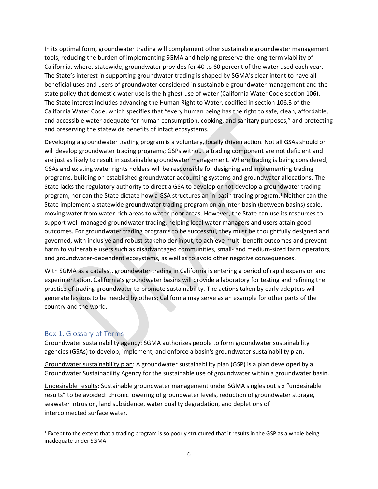In its optimal form, groundwater trading will complement other sustainable groundwater management tools, reducing the burden of implementing SGMA and helping preserve the long-term viability of California, where, statewide, groundwater provides for 40 to 60 percent of the water used each year. The State's interest in supporting groundwater trading is shaped by SGMA's clear intent to have all beneficial uses and users of groundwater considered in sustainable groundwater management and the state policy that domestic water use is the highest use of water (California Water Code section 106). The State interest includes advancing the Human Right to Water, codified in section 106.3 of the California Water Code, which specifies that "every human being has the right to safe, clean, affordable, and accessible water adequate for human consumption, cooking, and sanitary purposes," and protecting and preserving the statewide benefits of intact ecosystems.

Developing a groundwater trading program is a voluntary, locally driven action. Not all GSAs should or will develop groundwater trading programs; GSPs without a trading component are not deficient and are just as likely to result in sustainable groundwater management. Where trading is being considered, GSAs and existing water rights holders will be responsible for designing and implementing trading programs, building on established groundwater accounting systems and groundwater allocations. The State lacks the regulatory authority to direct a GSA to develop or not develop a groundwater trading program, nor can the State dictate how a GSA structures an in-basin trading program.<sup>1</sup> Neither can the State implement a statewide groundwater trading program on an inter-basin (between basins) scale, moving water from water-rich areas to water-poor areas. However, the State can use its resources to support well-managed groundwater trading, helping local water managers and users attain good outcomes. For groundwater trading programs to be successful, they must be thoughtfully designed and governed, with inclusive and robust stakeholder input, to achieve multi-benefit outcomes and prevent harm to vulnerable users such as disadvantaged communities, small- and medium-sized farm operators, and groundwater-dependent ecosystems, as well as to avoid other negative consequences.

With SGMA as a catalyst, groundwater trading in California is entering a period of rapid expansion and experimentation. California's groundwater basins will provide a laboratory for testing and refining the practice of trading groundwater to promote sustainability. The actions taken by early adopters will generate lessons to be heeded by others; California may serve as an example for other parts of the country and the world.

#### <span id="page-5-0"></span>Box 1: Glossary of Terms

Groundwater sustainability agency: SGMA authorizes people to form groundwater sustainability agencies (GSAs) to develop, implement, and enforce a basin's groundwater sustainability plan.

Groundwater sustainability plan: A groundwater sustainability plan (GSP) is a plan developed by a Groundwater Sustainability Agency for the sustainable use of groundwater within a groundwater basin.

Undesirable results: Sustainable groundwater management under SGMA singles out six "undesirable results" to be avoided: chronic lowering of groundwater levels, reduction of groundwater storage, seawater intrusion, land subsidence, water quality degradation, and depletions of interconnected [surface water.](https://mavensnotebook.com/glossary/surface-water/)

 $<sup>1</sup>$  Except to the extent that a trading program is so poorly structured that it results in the GSP as a whole being</sup> inadequate under SGMA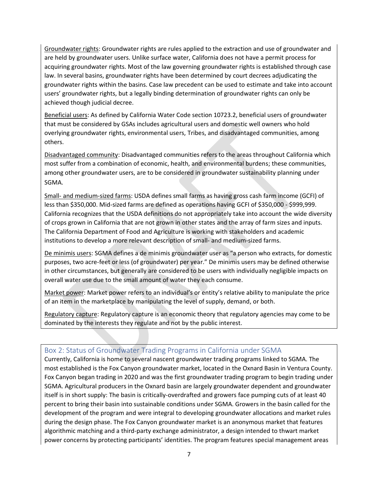Groundwater rights: Groundwater rights are rules applied to the extraction and use of groundwater and are held by groundwater users. Unlike surface water, California does not have a permit process for acquiring groundwater rights. Most of the law governing groundwater rights is established through case law. In several basins, groundwater rights have been determined by court decrees adjudicating the groundwater rights within the basins. Case law precedent can be used to estimate and take into account users' groundwater rights, but a legally binding determination of groundwater rights can only be achieved though judicial decree.

Beneficial users: As defined by California Water Code section 10723.2, beneficial users of groundwater that must be considered by GSAs includes agricultural users and domestic well owners who hold overlying groundwater rights, environmental users, Tribes, and disadvantaged communities, among others.

Disadvantaged community: Disadvantaged communities refers to the areas throughout California which most suffer from a combination of economic, health, and environmental burdens; these communities, among other groundwater users, are to be considered in groundwater sustainability planning under SGMA.

Small- and medium-sized farms: USDA defines small farms as having gross cash farm income (GCFI) of less than \$350,000. Mid-sized farms are defined as operations having GCFI of \$350,000 - \$999,999. California recognizes that the USDA definitions do not appropriately take into account the wide diversity of crops grown in California that are not grown in other states and the array of farm sizes and inputs. The California Department of Food and Agriculture is working with stakeholders and academic institutions to develop a more relevant description of small- and medium-sized farms.

De minimis users: SGMA defines a de minimis groundwater user as "a person who extracts, for domestic purposes, two acre-feet or less (of groundwater) per year." De minimis users may be defined otherwise in other circumstances, but generally are considered to be users with individually negligible impacts on overall water use due to the small amount of water they each consume.

Market power: Market power refers to an individual's or entity's relative ability to manipulate the price of an item in the marketplace by manipulating the level of supply, demand, or both.

Regulatory capture: Regulatory capture is an economic theory that regulatory agencies may come to be dominated by the interests they regulate and not by the public interest.

#### <span id="page-6-0"></span>Box 2: Status of Groundwater Trading Programs in California under SGMA

Currently, California is home to several nascent groundwater trading programs linked to SGMA. The most established is the Fox Canyon groundwater market, located in the Oxnard Basin in Ventura County. Fox Canyon began trading in 2020 and was the first groundwater trading program to begin trading under SGMA. Agricultural producers in the Oxnard basin are largely groundwater dependent and groundwater itself is in short supply: The basin is critically-overdrafted and growers face pumping cuts of at least 40 percent to bring their basin into sustainable conditions under SGMA. Growers in the basin called for the development of the program and were integral to developing groundwater allocations and market rules during the design phase. The Fox Canyon groundwater market is an anonymous market that features algorithmic matching and a third-party exchange administrator, a design intended to thwart market power concerns by protecting participants' identities. The program features special management areas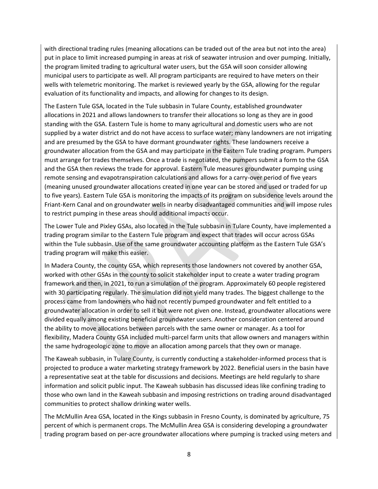with directional trading rules (meaning allocations can be traded out of the area but not into the area) put in place to limit increased pumping in areas at risk of seawater intrusion and over pumping. Initially, the program limited trading to agricultural water users, but the GSA will soon consider allowing municipal users to participate as well. All program participants are required to have meters on their wells with telemetric monitoring. The market is reviewed yearly by the GSA, allowing for the regular evaluation of its functionality and impacts, and allowing for changes to its design.

The Eastern Tule GSA, located in the Tule subbasin in Tulare County, established groundwater allocations in 2021 and allows landowners to transfer their allocations so long as they are in good standing with the GSA. Eastern Tule is home to many agricultural and domestic users who are not supplied by a water district and do not have access to surface water; many landowners are not irrigating and are presumed by the GSA to have dormant groundwater rights. These landowners receive a groundwater allocation from the GSA and may participate in the Eastern Tule trading program. Pumpers must arrange for trades themselves. Once a trade is negotiated, the pumpers submit a form to the GSA and the GSA then reviews the trade for approval. Eastern Tule measures groundwater pumping using remote sensing and evapotranspiration calculations and allows for a carry-over period of five years (meaning unused groundwater allocations created in one year can be stored and used or traded for up to five years). Eastern Tule GSA is monitoring the impacts of its program on subsidence levels around the Friant-Kern Canal and on groundwater wells in nearby disadvantaged communities and will impose rules to restrict pumping in these areas should additional impacts occur.

The Lower Tule and Pixley GSAs, also located in the Tule subbasin in Tulare County, have implemented a trading program similar to the Eastern Tule program and expect that trades will occur across GSAs within the Tule subbasin. Use of the same groundwater accounting platform as the Eastern Tule GSA's trading program will make this easier.

In Madera County, the county GSA, which represents those landowners not covered by another GSA, worked with other GSAs in the county to solicit stakeholder input to create a water trading program framework and then, in 2021, to run a simulation of the program. Approximately 60 people registered with 30 participating regularly. The simulation did not yield many trades. The biggest challenge to the process came from landowners who had not recently pumped groundwater and felt entitled to a groundwater allocation in order to sell it but were not given one. Instead, groundwater allocations were divided equally among existing beneficial groundwater users. Another consideration centered around the ability to move allocations between parcels with the same owner or manager. As a tool for flexibility, Madera County GSA included multi-parcel farm units that allow owners and managers within the same hydrogeologic zone to move an allocation among parcels that they own or manage.

The Kaweah subbasin, in Tulare County, is currently conducting a stakeholder-informed process that is projected to produce a water marketing strategy framework by 2022. Beneficial users in the basin have a representative seat at the table for discussions and decisions. Meetings are held regularly to share information and solicit public input. The Kaweah subbasin has discussed ideas like confining trading to those who own land in the Kaweah subbasin and imposing restrictions on trading around disadvantaged communities to protect shallow drinking water wells.

The McMullin Area GSA, located in the Kings subbasin in Fresno County, is dominated by agriculture, 75 percent of which is permanent crops. The McMullin Area GSA is considering developing a groundwater trading program based on per-acre groundwater allocations where pumping is tracked using meters and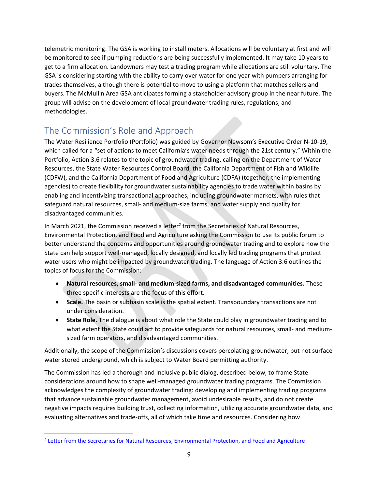telemetric monitoring. The GSA is working to install meters. Allocations will be voluntary at first and will be monitored to see if pumping reductions are being successfully implemented. It may take 10 years to get to a firm allocation. Landowners may test a trading program while allocations are still voluntary. The GSA is considering starting with the ability to carry over water for one year with pumpers arranging for trades themselves, although there is potential to move to using a platform that matches sellers and buyers. The McMullin Area GSA anticipates forming a stakeholder advisory group in the near future. The group will advise on the development of local groundwater trading rules, regulations, and methodologies.

### <span id="page-8-0"></span>The Commission's Role and Approach

The Water Resilience Portfolio (Portfolio) was guided by Governor Newsom's Executive Order N-10-19, which called for a "set of actions to meet California's water needs through the 21st century." Within the Portfolio, Action 3.6 relates to the topic of groundwater trading, calling on the Department of Water Resources, the State Water Resources Control Board, the California Department of Fish and Wildlife (CDFW), and the California Department of Food and Agriculture (CDFA) (together, the implementing agencies) to create flexibility for groundwater sustainability agencies to trade water within basins by enabling and incentivizing transactional approaches, including groundwater markets, with rules that safeguard natural resources, small- and medium-size farms, and water supply and quality for disadvantaged communities.

In March 2021, the Commission received a letter<sup>2</sup> from the Secretaries of Natural Resources, Environmental Protection, and Food and Agriculture asking the Commission to use its public forum to better understand the concerns and opportunities around groundwater trading and to explore how the State can help support well-managed, locally designed, and locally led trading programs that protect water users who might be impacted by groundwater trading. The language of Action 3.6 outlines the topics of focus for the Commission:

- **Natural resources, small- and medium-sized farms, and disadvantaged communities.** These three specific interests are the focus of this effort.
- **Scale.** The basin or subbasin scale is the spatial extent. Transboundary transactions are not under consideration.
- **State Role.** The dialogue is about what role the State could play in groundwater trading and to what extent the State could act to provide safeguards for natural resources, small- and mediumsized farm operators, and disadvantaged communities.

Additionally, the scope of the Commission's discussions covers percolating groundwater, but not surface water stored underground, which is subject to Water Board permitting authority.

The Commission has led a thorough and inclusive public dialog, described below, to frame State considerations around how to shape well-managed groundwater trading programs. The Commission acknowledges the complexity of groundwater trading: developing and implementing trading programs that advance sustainable groundwater management, avoid undesirable results, and do not create negative impacts requires building trust, collecting information, utilizing accurate groundwater data, and evaluating alternatives and trade-offs, all of which take time and resources. Considering how

<sup>&</sup>lt;sup>2</sup> [Letter from the Secretaries for Natural Resources, Environmental Protection, and Food and Agriculture](https://cwc.ca.gov/-/media/CWC-Website/Files/Documents/2021/03_March/March2021_Item_5_Attach_1_SecretariesLetter.pdf)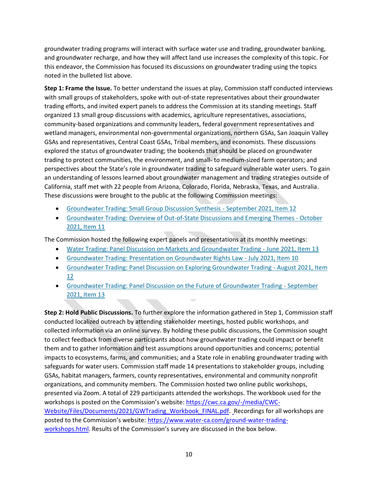groundwater trading programs will interact with surface water use and trading, groundwater banking, and groundwater recharge, and how they will affect land use increases the complexity of this topic. For this endeavor, the Commission has focused its discussions on groundwater trading using the topics noted in the bulleted list above.

**Step 1: Frame the Issue.** To better understand the issues at play, Commission staff conducted interviews with small groups of stakeholders, spoke with out-of-state representatives about their groundwater trading efforts, and invited expert panels to address the Commission at its standing meetings. Staff organized 13 small group discussions with academics, agriculture representatives, associations, community-based organizations and community leaders, federal government representatives and wetland managers, environmental non-governmental organizations, northern GSAs, San Joaquin Valley GSAs and representatives, Central Coast GSAs, Tribal members, and economists. These discussions explored the status of groundwater trading; the bookends that should be placed on groundwater trading to protect communities, the environment, and small- to medium-sized farm operators; and perspectives about the State's role in groundwater trading to safeguard vulnerable water users. To gain an understanding of lessons learned about groundwater management and trading strategies outside of California, staff met with 22 people from Arizona, Colorado, Florida, Nebraska, Texas, and Australia. These discussions were brought to the public at the following Commission meetings:

- [Groundwater Trading: Small Group Discussion Synthesis -](https://cwc.ca.gov/Meetings/All-Meetings/2021/Meeting-of-the-California-Water-Commission-Sept-14-2021) September 2021, Item 12
- [Groundwater Trading: Overview of Out-of-State Discussions and Emerging Themes -](https://cwc.ca.gov/Meetings/All-Meetings/2021/Meeting-of-the-California-Water-Commission-Oct-20-2021) October [2021, Item 11](https://cwc.ca.gov/Meetings/All-Meetings/2021/Meeting-of-the-California-Water-Commission-Oct-20-2021)

The Commission hosted the following expert panels and presentations at its monthly meetings:

- [Water Trading: Panel Discussion on Markets and Groundwater Trading -](https://cwc.ca.gov/Meetings/All-Meetings/2021/Meeting-of-the-California-Water-Commission-June-16-2021) June 2021, Item 13
- [Groundwater Trading: Presentation on Groundwater Rights Law -](https://cwc.ca.gov/Meetings/All-Meetings/2021/Meeting-of-the-California-Water-Commission-July-21-2021) July 2021, Item 10
- [Groundwater Trading: Panel Discussion on Exploring Groundwater Trading -](https://cwc.ca.gov/Meetings/All-Meetings/2021/Meeting-of-the-California-Water-Commission-Aug-18-2021) August 2021, Item [12](https://cwc.ca.gov/Meetings/All-Meetings/2021/Meeting-of-the-California-Water-Commission-Aug-18-2021)
- [Groundwater Trading: Panel Discussion on the Future of Groundwater Trading -](https://cwc.ca.gov/Meetings/All-Meetings/2021/Meeting-of-the-California-Water-Commission-Sept-14-2021) September [2021, Item 13](https://cwc.ca.gov/Meetings/All-Meetings/2021/Meeting-of-the-California-Water-Commission-Sept-14-2021)

**Step 2: Hold Public Discussions.** To further explore the information gathered in Step 1, Commission staff conducted localized outreach by attending stakeholder meetings, hosted public workshops, and collected information via an online survey. By holding these public discussions, the Commission sought to collect feedback from diverse participants about how groundwater trading could impact or benefit them and to gather information and test assumptions around opportunities and concerns; potential impacts to ecosystems, farms, and communities; and a State role in enabling groundwater trading with safeguards for water users. Commission staff made 14 presentations to stakeholder groups, including GSAs, habitat managers, farmers, county representatives, environmental and community nonprofit organizations, and community members. The Commission hosted two online public workshops, presented via Zoom. A total of 229 participants attended the workshops. The workbook used for the workshops is posted on the Commission's website: [https://cwc.ca.gov/-/media/CWC-](https://cwc.ca.gov/-/media/CWC-Website/Files/Documents/2021/GWTrading_Workbook_FINAL.pdf)[Website/Files/Documents/2021/GWTrading\\_Workbook\\_FINAL.pdf.](https://cwc.ca.gov/-/media/CWC-Website/Files/Documents/2021/GWTrading_Workbook_FINAL.pdf) Recordings for all workshops are posted to the Commission's website: [https://www.water-ca.com/ground-water-trading](https://www.water-ca.com/ground-water-trading-workshops.html)[workshops.html.](https://www.water-ca.com/ground-water-trading-workshops.html) Results of the Commission's survey are discussed in the box below.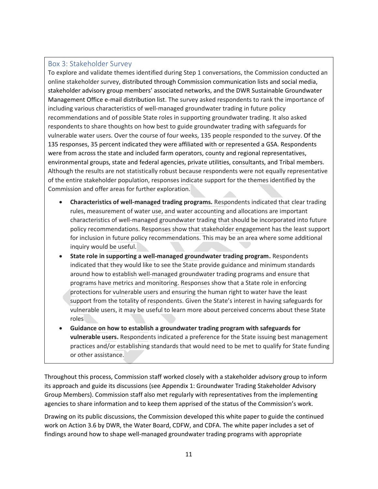#### <span id="page-10-0"></span>Box 3: Stakeholder Survey

To explore and validate themes identified during Step 1 conversations, the Commission conducted an online stakeholder survey, distributed through Commission communication lists and social media, stakeholder advisory group members' associated networks, and the DWR Sustainable Groundwater Management Office e-mail distribution list. The survey asked respondents to rank the importance of including various characteristics of well-managed groundwater trading in future policy recommendations and of possible State roles in supporting groundwater trading. It also asked respondents to share thoughts on how best to guide groundwater trading with safeguards for vulnerable water users. Over the course of four weeks, 135 people responded to the survey. Of the 135 responses, 35 percent indicated they were affiliated with or represented a GSA. Respondents were from across the state and included farm operators, county and regional representatives, environmental groups, state and federal agencies, private utilities, consultants, and Tribal members. Although the results are not statistically robust because respondents were not equally representative of the entire stakeholder population, responses indicate support for the themes identified by the Commission and offer areas for further exploration.

- **Characteristics of well-managed trading programs.** Respondents indicated that clear trading rules, measurement of water use, and water accounting and allocations are important characteristics of well-managed groundwater trading that should be incorporated into future policy recommendations. Responses show that stakeholder engagement has the least support for inclusion in future policy recommendations. This may be an area where some additional inquiry would be useful.
- **State role in supporting a well-managed groundwater trading program.** Respondents indicated that they would like to see the State provide guidance and minimum standards around how to establish well-managed groundwater trading programs and ensure that programs have metrics and monitoring. Responses show that a State role in enforcing protections for vulnerable users and ensuring the human right to water have the least support from the totality of respondents. Given the State's interest in having safeguards for vulnerable users, it may be useful to learn more about perceived concerns about these State roles
- **Guidance on how to establish a groundwater trading program with safeguards for vulnerable users.** Respondents indicated a preference for the State issuing best management practices and/or establishing standards that would need to be met to qualify for State funding or other assistance.

Throughout this process, Commission staff worked closely with a stakeholder advisory group to inform its approach and guide its discussions (see Appendix 1: Groundwater Trading Stakeholder Advisory Group Members). Commission staff also met regularly with representatives from the implementing agencies to share information and to keep them apprised of the status of the Commission's work.

Drawing on its public discussions, the Commission developed this white paper to guide the continued work on Action 3.6 by DWR, the Water Board, CDFW, and CDFA. The white paper includes a set of findings around how to shape well-managed groundwater trading programs with appropriate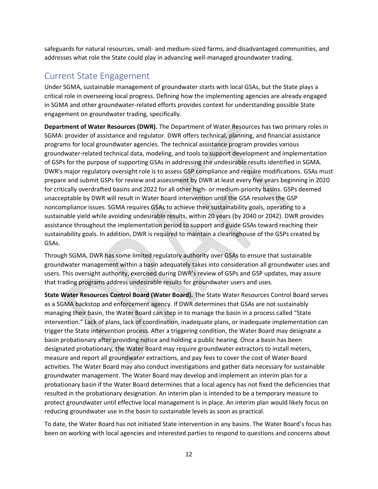safeguards for natural resources, small- and medium-sized farms, and disadvantaged communities, and addresses what role the State could play in advancing well-managed groundwater trading.

### <span id="page-11-0"></span>Current State Engagement

Under SGMA, sustainable management of groundwater starts with local GSAs, but the State plays a critical role in overseeing local progress. Defining how the implementing agencies are already engaged in SGMA and other groundwater-related efforts provides context for understanding possible State engagement on groundwater trading, specifically.

**Department of Water Resources (DWR).** The Department of Water Resources has two primary roles in SGMA: provider of assistance and regulator. DWR offers technical, planning, and financial assistance programs for local groundwater agencies. The technical assistance program provides various groundwater-related technical data, modeling, and tools to support development and implementation of GSPs for the purpose of supporting GSAs in addressing the undesirable results identified in SGMA. DWR's major regulatory oversight role is to assess GSP compliance and require modifications. GSAs must prepare and submit GSPs for review and assessment by DWR at least every five years beginning in 2020 for critically overdrafted basins and 2022 for all other high- or medium-priority basins. GSPs deemed unacceptable by DWR will result in Water Board intervention until the GSA resolves the GSP noncompliance issues. SGMA requires GSAs to achieve their sustainability goals, operating to a sustainable yield while avoiding undesirable results, within 20 years (by 2040 or 2042). DWR provides assistance throughout the implementation period to support and guide GSAs toward reaching their sustainability goals. In addition, DWR is required to maintain a clearinghouse of the GSPs created by GSAs.

Through SGMA, DWR has some limited regulatory authority over GSAs to ensure that sustainable groundwater management within a basin adequately takes into consideration all groundwater uses and users. This oversight authority, exercised during DWR's review of GSPs and GSP updates, may assure that trading programs address undesirable results for groundwater users and uses.

**State Water Resources Control Board (Water Board).** The State Water Resources Control Board serves as a SGMA backstop and enforcement agency. If DWR determines that GSAs are not sustainably managing their basin, the Water Board can step in to manage the basin in a process called "State intervention." Lack of plans, lack of coordination, inadequate plans, or inadequate implementation can trigger the State intervention process. After a triggering condition, the Water Board may designate a basin probationary after providing notice and holding a public hearing. Once a basin has been designated probationary, the Water Board may require groundwater extractors to install meters, measure and report all groundwater extractions, and pay fees to cover the cost of Water Board activities. The Water Board may also conduct investigations and gather data necessary for sustainable groundwater management. The Water Board may develop and implement an interim plan for a probationary basin if the Water Board determines that a local agency has not fixed the deficiencies that resulted in the probationary designation. An interim plan is intended to be a temporary measure to protect groundwater until effective local management is in place. An interim plan would likely focus on reducing groundwater use in the basin to sustainable levels as soon as practical.

To date, the Water Board has not initiated State intervention in any basins. The Water Board's focus has been on working with local agencies and interested parties to respond to questions and concerns about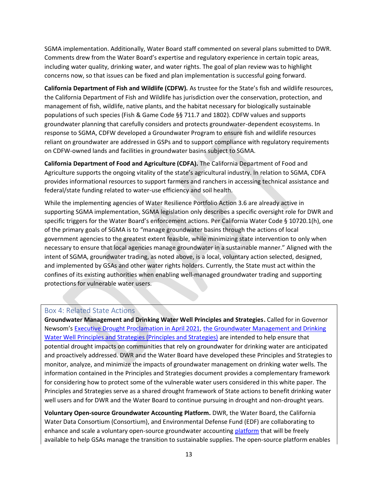SGMA implementation. Additionally, Water Board staff commented on several plans submitted to DWR. Comments drew from the Water Board's expertise and regulatory experience in certain topic areas, including water quality, drinking water, and water rights. The goal of plan review was to highlight concerns now, so that issues can be fixed and plan implementation is successful going forward.

**California Department of Fish and Wildlife (CDFW).** As trustee for the State's fish and wildlife resources, the California Department of Fish and Wildlife has jurisdiction over the conservation, protection, and management of fish, wildlife, native plants, and the habitat necessary for biologically sustainable populations of such species (Fish & Game Code §§ 711.7 and 1802). CDFW values and supports groundwater planning that carefully considers and protects groundwater-dependent ecosystems. In response to SGMA, CDFW developed a Groundwater Program to ensure fish and wildlife resources reliant on groundwater are addressed in GSPs and to support compliance with regulatory requirements on CDFW-owned lands and facilities in groundwater basins subject to SGMA.

**California Department of Food and Agriculture (CDFA).** The California Department of Food and Agriculture supports the ongoing vitality of the state's agricultural industry. In relation to SGMA, CDFA provides informational resources to support farmers and ranchers in accessing technical assistance and federal/state funding related to water-use efficiency and soil health.

While the implementing agencies of Water Resilience Portfolio Action 3.6 are already active in supporting SGMA implementation, SGMA legislation only describes a specific oversight role for DWR and specific triggers for the Water Board's enforcement actions. Per California Water Code § 10720.1(h), one of the primary goals of SGMA is to "manage groundwater basins through the actions of local government agencies to the greatest extent feasible, while minimizing state intervention to only when necessary to ensure that local agencies manage groundwater in a sustainable manner." Aligned with the intent of SGMA, groundwater trading, as noted above, is a local, voluntary action selected, designed, and implemented by GSAs and other water rights holders. Currently, the State must act within the confines of its existing authorities when enabling well-managed groundwater trading and supporting protections for vulnerable water users.

#### <span id="page-12-0"></span>Box 4: Related State Actions

**Groundwater Management and Drinking Water Well Principles and Strategies.** Called for in Governor Newsom's [Executive Drought Proclamation in April 2021,](https://www.gov.ca.gov/wp-content/uploads/2021/04/4.21.21-Drought-Proclamation.pdf) [the Groundwater Management and Drinking](https://water.ca.gov/-/media/DWR-Website/Web-Pages/Programs/Groundwater-Management/DrinkingWater/Files/Final-Principles-and-Strategies-with-the-Implementation-Matrix.pdf)  [Water Well Principles and Strategies \(Principles and Strategies\)](https://water.ca.gov/-/media/DWR-Website/Web-Pages/Programs/Groundwater-Management/DrinkingWater/Files/Final-Principles-and-Strategies-with-the-Implementation-Matrix.pdf) are intended to help ensure that potential drought impacts on communities that rely on groundwater for drinking water are anticipated and proactively addressed. DWR and the Water Board have developed these Principles and Strategies to monitor, analyze, and minimize the impacts of groundwater management on drinking water wells. The information contained in the Principles and Strategies document provides a complementary framework for considering how to protect some of the vulnerable water users considered in this white paper. The Principles and Strategies serve as a shared drought framework of State actions to benefit drinking water well users and for DWR and the Water Board to continue pursuing in drought and non-drought years.

**Voluntary Open-source Groundwater Accounting Platform.** DWR, the Water Board, the California Water Data Consortium (Consortium), and Environmental Defense Fund (EDF) are collaborating to enhance and scale a voluntary open-source groundwater accountin[g platform](https://edfmaps.maps.arcgis.com/apps/Cascade/index.html?appid=7af13444157741a2a090cf4262b44206) that will be freely available to help GSAs manage the transition to sustainable supplies. The open-source platform enables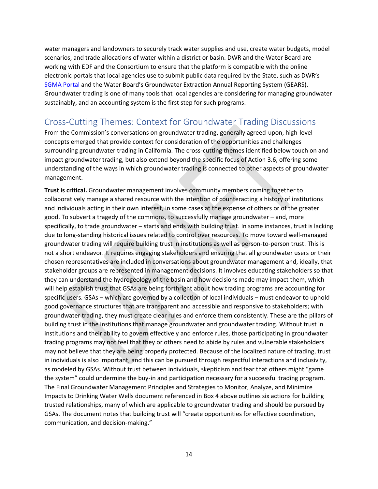water managers and landowners to securely track water supplies and use, create water budgets, model scenarios, and trade allocations of water within a district or basin. DWR and the Water Board are working with EDF and the Consortium to ensure that the platform is compatible with the online electronic portals that local agencies use to submit public data required by the State, such as DWR's [SGMA Portal](https://sgma.water.ca.gov/portal/) and the Water Board's Groundwater Extraction Annual Reporting System (GEARS). Groundwater trading is one of many tools that local agencies are considering for managing groundwater sustainably, and an accounting system is the first step for such programs.

### <span id="page-13-0"></span>Cross-Cutting Themes: Context for Groundwater Trading Discussions

From the Commission's conversations on groundwater trading, generally agreed-upon, high-level concepts emerged that provide context for consideration of the opportunities and challenges surrounding groundwater trading in California. The cross-cutting themes identified below touch on and impact groundwater trading, but also extend beyond the specific focus of Action 3.6, offering some understanding of the ways in which groundwater trading is connected to other aspects of groundwater management.

**Trust is critical.** Groundwater management involves community members coming together to collaboratively manage a shared resource with the intention of counteracting a history of institutions and individuals acting in their own interest, in some cases at the expense of others or of the greater good. To subvert a tragedy of the commons, to successfully manage groundwater – and, more specifically, to trade groundwater – starts and ends with building trust. In some instances, trust is lacking due to long-standing historical issues related to control over resources. To move toward well-managed groundwater trading will require building trust in institutions as well as person-to-person trust. This is not a short endeavor. It requires engaging stakeholders and ensuring that all groundwater users or their chosen representatives are included in conversations about groundwater management and, ideally, that stakeholder groups are represented in management decisions. It involves educating stakeholders so that they can understand the hydrogeology of the basin and how decisions made may impact them, which will help establish trust that GSAs are being forthright about how trading programs are accounting for specific users. GSAs – which are governed by a collection of local individuals – must endeavor to uphold good governance structures that are transparent and accessible and responsive to stakeholders; with groundwater trading, they must create clear rules and enforce them consistently. These are the pillars of building trust in the institutions that manage groundwater and groundwater trading. Without trust in institutions and their ability to govern effectively and enforce rules, those participating in groundwater trading programs may not feel that they or others need to abide by rules and vulnerable stakeholders may not believe that they are being properly protected. Because of the localized nature of trading, trust in individuals is also important, and this can be pursued through respectful interactions and inclusivity, as modeled by GSAs. Without trust between individuals, skepticism and fear that others might "game the system" could undermine the buy-in and participation necessary for a successful trading program. The Final Groundwater Management Principles and Strategies to Monitor, Analyze, and Minimize Impacts to Drinking Water Wells document referenced in Box 4 above outlines six actions for building trusted relationships, many of which are applicable to groundwater trading and should be pursued by GSAs. The document notes that building trust will "create opportunities for effective coordination, communication, and decision-making."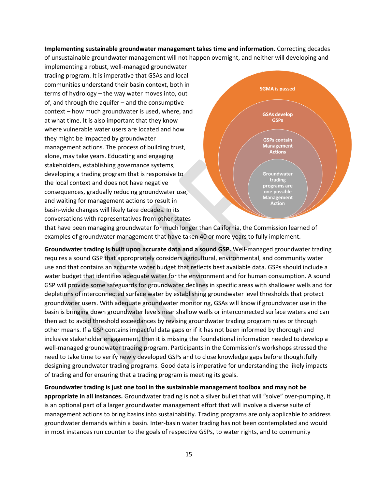**Implementing sustainable groundwater management takes time and information.** Correcting decades

of unsustainable groundwater management will not happen overnight, and neither will developing and implementing a robust, well-managed groundwater trading program. It is imperative that GSAs and local communities understand their basin context, both in terms of hydrology – the way water moves into, out of, and through the aquifer – and the consumptive context – how much groundwater is used, where, and at what time. It is also important that they know where vulnerable water users are located and how they might be impacted by groundwater management actions. The process of building trust, alone, may take years. Educating and engaging stakeholders, establishing governance systems, developing a trading program that is responsive to the local context and does not have negative consequences, gradually reducing groundwater use, and waiting for management actions to result in basin-wide changes will likely take decades. In its conversations with representatives from other states



that have been managing groundwater for much longer than California, the Commission learned of examples of groundwater management that have taken 40 or more years to fully implement.

**Groundwater trading is built upon accurate data and a sound GSP.** Well-managed groundwater trading requires a sound GSP that appropriately considers agricultural, environmental, and community water use and that contains an accurate water budget that reflects best available data. GSPs should include a water budget that identifies adequate water for the environment and for human consumption. A sound GSP will provide some safeguards for groundwater declines in specific areas with shallower wells and for depletions of interconnected surface water by establishing groundwater level thresholds that protect groundwater users. With adequate groundwater monitoring, GSAs will know if groundwater use in the basin is bringing down groundwater levels near shallow wells or interconnected surface waters and can then act to avoid threshold exceedances by revising groundwater trading program rules or through other means. If a GSP contains impactful data gaps or if it has not been informed by thorough and inclusive stakeholder engagement, then it is missing the foundational information needed to develop a well-managed groundwater trading program. Participants in the Commission's workshops stressed the need to take time to verify newly developed GSPs and to close knowledge gaps before thoughtfully designing groundwater trading programs. Good data is imperative for understanding the likely impacts of trading and for ensuring that a trading program is meeting its goals.

**Groundwater trading is just one tool in the sustainable management toolbox and may not be appropriate in all instances.** Groundwater trading is not a silver bullet that will "solve" over-pumping, it is an optional part of a larger groundwater management effort that will involve a diverse suite of management actions to bring basins into sustainability. Trading programs are only applicable to address groundwater demands within a basin. Inter-basin water trading has not been contemplated and would in most instances run counter to the goals of respective GSPs, to water rights, and to community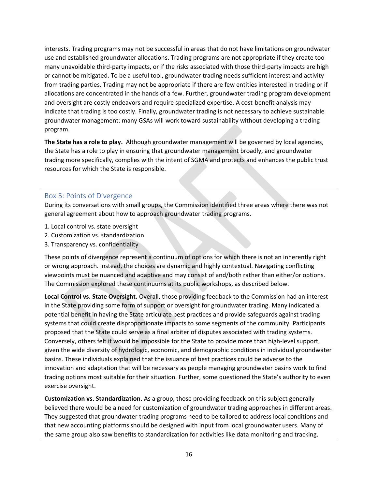interests. Trading programs may not be successful in areas that do not have limitations on groundwater use and established groundwater allocations. Trading programs are not appropriate if they create too many unavoidable third-party impacts, or if the risks associated with those third-party impacts are high or cannot be mitigated. To be a useful tool, groundwater trading needs sufficient interest and activity from trading parties. Trading may not be appropriate if there are few entities interested in trading or if allocations are concentrated in the hands of a few. Further, groundwater trading program development and oversight are costly endeavors and require specialized expertise. A cost-benefit analysis may indicate that trading is too costly. Finally, groundwater trading is not necessary to achieve sustainable groundwater management: many GSAs will work toward sustainability without developing a trading program.

**The State has a role to play.** Although groundwater management will be governed by local agencies, the State has a role to play in ensuring that groundwater management broadly, and groundwater trading more specifically, complies with the intent of SGMA and protects and enhances the public trust resources for which the State is responsible.

#### <span id="page-15-0"></span>Box 5: Points of Divergence

During its conversations with small groups, the Commission identified three areas where there was not general agreement about how to approach groundwater trading programs.

- 1. Local control vs. state oversight
- 2. Customization vs. standardization
- 3. Transparency vs. confidentiality

These points of divergence represent a continuum of options for which there is not an inherently right or wrong approach. Instead, the choices are dynamic and highly contextual. Navigating conflicting viewpoints must be nuanced and adaptive and may consist of and/both rather than either/or options. The Commission explored these continuums at its public workshops, as described below.

**Local Control vs. State Oversight.** Overall, those providing feedback to the Commission had an interest in the State providing some form of support or oversight for groundwater trading. Many indicated a potential benefit in having the State articulate best practices and provide safeguards against trading systems that could create disproportionate impacts to some segments of the community. Participants proposed that the State could serve as a final arbiter of disputes associated with trading systems. Conversely, others felt it would be impossible for the State to provide more than high-level support, given the wide diversity of hydrologic, economic, and demographic conditions in individual groundwater basins. These individuals explained that the issuance of best practices could be adverse to the innovation and adaptation that will be necessary as people managing groundwater basins work to find trading options most suitable for their situation. Further, some questioned the State's authority to even exercise oversight.

**Customization vs. Standardization.** As a group, those providing feedback on this subject generally believed there would be a need for customization of groundwater trading approaches in different areas. They suggested that groundwater trading programs need to be tailored to address local conditions and that new accounting platforms should be designed with input from local groundwater users. Many of the same group also saw benefits to standardization for activities like data monitoring and tracking.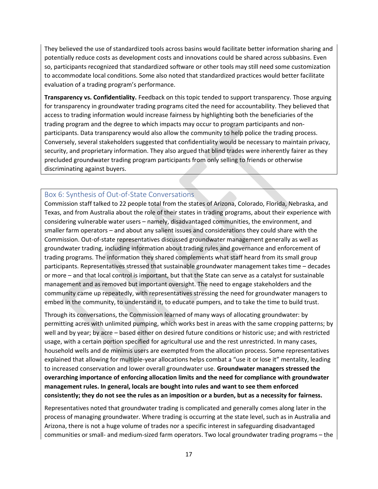They believed the use of standardized tools across basins would facilitate better information sharing and potentially reduce costs as development costs and innovations could be shared across subbasins. Even so, participants recognized that standardized software or other tools may still need some customization to accommodate local conditions. Some also noted that standardized practices would better facilitate evaluation of a trading program's performance.

**Transparency vs. Confidentiality.** Feedback on this topic tended to support transparency. Those arguing for transparency in groundwater trading programs cited the need for accountability. They believed that access to trading information would increase fairness by highlighting both the beneficiaries of the trading program and the degree to which impacts may occur to program participants and nonparticipants. Data transparency would also allow the community to help police the trading process. Conversely, several stakeholders suggested that confidentiality would be necessary to maintain privacy, security, and proprietary information. They also argued that blind trades were inherently fairer as they precluded groundwater trading program participants from only selling to friends or otherwise discriminating against buyers.

#### <span id="page-16-0"></span>Box 6: Synthesis of Out-of-State Conversations

Commission staff talked to 22 people total from the states of Arizona, Colorado, Florida, Nebraska, and Texas, and from Australia about the role of their states in trading programs, about their experience with considering vulnerable water users – namely, disadvantaged communities, the environment, and smaller farm operators – and about any salient issues and considerations they could share with the Commission. Out-of-state representatives discussed groundwater management generally as well as groundwater trading, including information about trading rules and governance and enforcement of trading programs. The information they shared complements what staff heard from its small group participants. Representatives stressed that sustainable groundwater management takes time – decades or more – and that local control is important, but that the State can serve as a catalyst for sustainable management and as removed but important oversight. The need to engage stakeholders and the community came up repeatedly, with representatives stressing the need for groundwater managers to embed in the community, to understand it, to educate pumpers, and to take the time to build trust.

Through its conversations, the Commission learned of many ways of allocating groundwater: by permitting acres with unlimited pumping, which works best in areas with the same cropping patterns; by well and by year; by acre – based either on desired future conditions or historic use; and with restricted usage, with a certain portion specified for agricultural use and the rest unrestricted. In many cases, household wells and de minimis users are exempted from the allocation process. Some representatives explained that allowing for multiple-year allocations helps combat a "use it or lose it" mentality, leading to increased conservation and lower overall groundwater use. **Groundwater managers stressed the overarching importance of enforcing allocation limits and the need for compliance with groundwater management rules. In general, locals are bought into rules and want to see them enforced consistently; they do not see the rules as an imposition or a burden, but as a necessity for fairness.**

Representatives noted that groundwater trading is complicated and generally comes along later in the process of managing groundwater. Where trading is occurring at the state level, such as in Australia and Arizona, there is not a huge volume of trades nor a specific interest in safeguarding disadvantaged communities or small- and medium-sized farm operators. Two local groundwater trading programs – the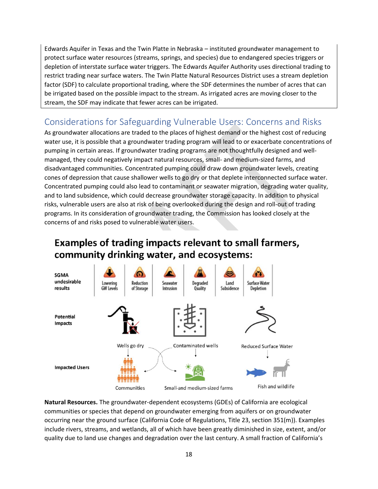Edwards Aquifer in Texas and the Twin Platte in Nebraska – instituted groundwater management to protect surface water resources (streams, springs, and species) due to endangered species triggers or depletion of interstate surface water triggers. The Edwards Aquifer Authority uses directional trading to restrict trading near surface waters. The Twin Platte Natural Resources District uses a stream depletion factor (SDF) to calculate proportional trading, where the SDF determines the number of acres that can be irrigated based on the possible impact to the stream. As irrigated acres are moving closer to the stream, the SDF may indicate that fewer acres can be irrigated.

### <span id="page-17-0"></span>Considerations for Safeguarding Vulnerable Users: Concerns and Risks

As groundwater allocations are traded to the places of highest demand or the highest cost of reducing water use, it is possible that a groundwater trading program will lead to or exacerbate concentrations of pumping in certain areas. If groundwater trading programs are not thoughtfully designed and wellmanaged, they could negatively impact natural resources, small- and medium-sized farms, and disadvantaged communities. Concentrated pumping could draw down groundwater levels, creating cones of depression that cause shallower wells to go dry or that deplete interconnected surface water. Concentrated pumping could also lead to contaminant or seawater migration, degrading water quality, and to land subsidence, which could decrease groundwater storage capacity. In addition to physical risks, vulnerable users are also at risk of being overlooked during the design and roll-out of trading programs. In its consideration of groundwater trading, the Commission has looked closely at the concerns of and risks posed to vulnerable water users.

## Examples of trading impacts relevant to small farmers, community drinking water, and ecosystems:



**Natural Resources.** The groundwater-dependent ecosystems (GDEs) of California are ecological communities or species that depend on groundwater emerging from aquifers or on groundwater occurring near the ground surface (California Code of Regulations, Title 23, section 351(m)). Examples include rivers, streams, and wetlands, all of which have been greatly diminished in size, extent, and/or quality due to land use changes and degradation over the last century. A small fraction of California's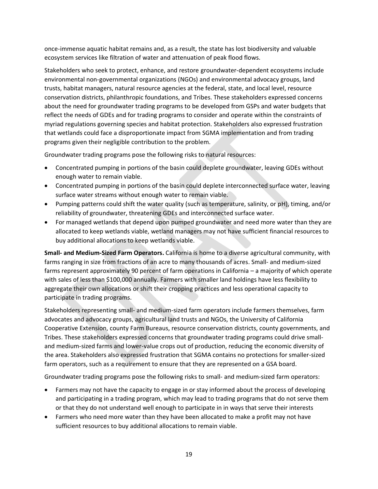once-immense aquatic habitat remains and, as a result, the state has lost biodiversity and valuable ecosystem services like filtration of water and attenuation of peak flood flows.

Stakeholders who seek to protect, enhance, and restore groundwater-dependent ecosystems include environmental non-governmental organizations (NGOs) and environmental advocacy groups, land trusts, habitat managers, natural resource agencies at the federal, state, and local level, resource conservation districts, philanthropic foundations, and Tribes. These stakeholders expressed concerns about the need for groundwater trading programs to be developed from GSPs and water budgets that reflect the needs of GDEs and for trading programs to consider and operate within the constraints of myriad regulations governing species and habitat protection. Stakeholders also expressed frustration that wetlands could face a disproportionate impact from SGMA implementation and from trading programs given their negligible contribution to the problem.

Groundwater trading programs pose the following risks to natural resources:

- Concentrated pumping in portions of the basin could deplete groundwater, leaving GDEs without enough water to remain viable.
- Concentrated pumping in portions of the basin could deplete interconnected surface water, leaving surface water streams without enough water to remain viable.
- Pumping patterns could shift the water quality (such as temperature, salinity, or pH), timing, and/or reliability of groundwater, threatening GDEs and interconnected surface water.
- For managed wetlands that depend upon pumped groundwater and need more water than they are allocated to keep wetlands viable, wetland managers may not have sufficient financial resources to buy additional allocations to keep wetlands viable.

**Small- and Medium-Sized Farm Operators.** California is home to a diverse agricultural community, with farms ranging in size from fractions of an acre to many thousands of acres. Small- and medium-sized farms represent approximately 90 percent of farm operations in California – a majority of which operate with sales of less than \$100,000 annually. Farmers with smaller land holdings have less flexibility to aggregate their own allocations or shift their cropping practices and less operational capacity to participate in trading programs.

Stakeholders representing small- and medium-sized farm operators include farmers themselves, farm advocates and advocacy groups, agricultural land trusts and NGOs, the University of California Cooperative Extension, county Farm Bureaus, resource conservation districts, county governments, and Tribes. These stakeholders expressed concerns that groundwater trading programs could drive smalland medium-sized farms and lower-value crops out of production, reducing the economic diversity of the area. Stakeholders also expressed frustration that SGMA contains no protections for smaller-sized farm operators, such as a requirement to ensure that they are represented on a GSA board.

Groundwater trading programs pose the following risks to small- and medium-sized farm operators:

- Farmers may not have the capacity to engage in or stay informed about the process of developing and participating in a trading program, which may lead to trading programs that do not serve them or that they do not understand well enough to participate in in ways that serve their interests
- Farmers who need more water than they have been allocated to make a profit may not have sufficient resources to buy additional allocations to remain viable.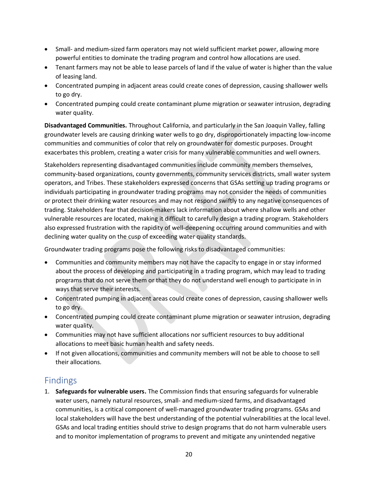- Small- and medium-sized farm operators may not wield sufficient market power, allowing more powerful entities to dominate the trading program and control how allocations are used.
- Tenant farmers may not be able to lease parcels of land if the value of water is higher than the value of leasing land.
- Concentrated pumping in adjacent areas could create cones of depression, causing shallower wells to go dry.
- Concentrated pumping could create contaminant plume migration or seawater intrusion, degrading water quality.

**Disadvantaged Communities.** Throughout California, and particularly in the San Joaquin Valley, falling groundwater levels are causing drinking water wells to go dry, disproportionately impacting low-income communities and communities of color that rely on groundwater for domestic purposes. Drought exacerbates this problem, creating a water crisis for many vulnerable communities and well owners.

Stakeholders representing disadvantaged communities include community members themselves, community-based organizations, county governments, community services districts, small water system operators, and Tribes. These stakeholders expressed concerns that GSAs setting up trading programs or individuals participating in groundwater trading programs may not consider the needs of communities or protect their drinking water resources and may not respond swiftly to any negative consequences of trading. Stakeholders fear that decision-makers lack information about where shallow wells and other vulnerable resources are located, making it difficult to carefully design a trading program. Stakeholders also expressed frustration with the rapidity of well-deepening occurring around communities and with declining water quality on the cusp of exceeding water quality standards.

Groundwater trading programs pose the following risks to disadvantaged communities:

- Communities and community members may not have the capacity to engage in or stay informed about the process of developing and participating in a trading program, which may lead to trading programs that do not serve them or that they do not understand well enough to participate in in ways that serve their interests.
- Concentrated pumping in adjacent areas could create cones of depression, causing shallower wells to go dry.
- Concentrated pumping could create contaminant plume migration or seawater intrusion, degrading water quality.
- Communities may not have sufficient allocations nor sufficient resources to buy additional allocations to meet basic human health and safety needs.
- If not given allocations, communities and community members will not be able to choose to sell their allocations.

### <span id="page-19-0"></span>Findings

1. **Safeguards for vulnerable users.** The Commission finds that ensuring safeguards for vulnerable water users, namely natural resources, small- and medium-sized farms, and disadvantaged communities, is a critical component of well-managed groundwater trading programs. GSAs and local stakeholders will have the best understanding of the potential vulnerabilities at the local level. GSAs and local trading entities should strive to design programs that do not harm vulnerable users and to monitor implementation of programs to prevent and mitigate any unintended negative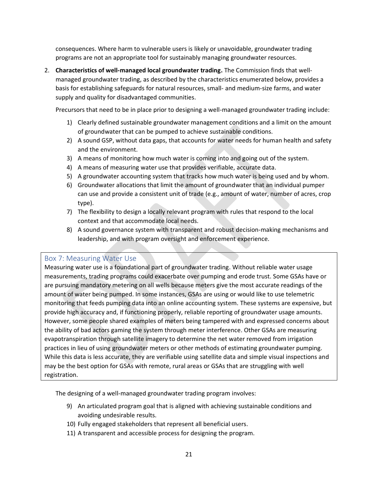consequences. Where harm to vulnerable users is likely or unavoidable, groundwater trading programs are not an appropriate tool for sustainably managing groundwater resources.

2. **Characteristics of well-managed local groundwater trading.** The Commission finds that wellmanaged groundwater trading, as described by the characteristics enumerated below, provides a basis for establishing safeguards for natural resources, small- and medium-size farms, and water supply and quality for disadvantaged communities.

Precursors that need to be in place prior to designing a well-managed groundwater trading include:

- 1) Clearly defined sustainable groundwater management conditions and a limit on the amount of groundwater that can be pumped to achieve sustainable conditions.
- 2) A sound GSP, without data gaps, that accounts for water needs for human health and safety and the environment.
- 3) A means of monitoring how much water is coming into and going out of the system.
- 4) A means of measuring water use that provides verifiable, accurate data.
- 5) A groundwater accounting system that tracks how much water is being used and by whom.
- 6) Groundwater allocations that limit the amount of groundwater that an individual pumper can use and provide a consistent unit of trade (e.g., amount of water, number of acres, crop type).
- 7) The flexibility to design a locally relevant program with rules that respond to the local context and that accommodate local needs.
- 8) A sound governance system with transparent and robust decision-making mechanisms and leadership, and with program oversight and enforcement experience.

#### <span id="page-20-0"></span>Box 7: Measuring Water Use

Measuring water use is a foundational part of groundwater trading. Without reliable water usage measurements, trading programs could exacerbate over pumping and erode trust. Some GSAs have or are pursuing mandatory metering on all wells because meters give the most accurate readings of the amount of water being pumped. In some instances, GSAs are using or would like to use telemetric monitoring that feeds pumping data into an online accounting system. These systems are expensive, bu t provide high accuracy and, if functioning properly, reliable reporting of groundwater usage amounts. However, some people shared examples of meters being tampered with and expressed concerns about the ability of bad actors gaming the system through meter interference. Other GSAs are measuring evapotranspiration through satellite imagery to determine the net water removed from irrigation practices in lieu of using groundwater meters or other methods of estimating groundwater pumping. While this data is less accurate, they are verifiable using satellite data and simple visual inspections and may be the best option for GSAs with remote, rural areas or GSAs that are struggling with well registration.

The designing of a well-managed groundwater trading program involves:

- 9) An articulated program goal that is aligned with achieving sustainable conditions and avoiding undesirable results.
- 10) Fully engaged stakeholders that represent all beneficial users.
- 11) A transparent and accessible process for designing the program.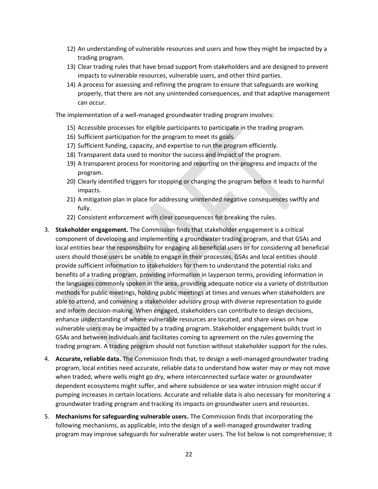- 12) An understanding of vulnerable resources and users and how they might be impacted by a trading program.
- 13) Clear trading rules that have broad support from stakeholders and are designed to prevent impacts to vulnerable resources, vulnerable users, and other third parties.
- 14) A process for assessing and refining the program to ensure that safeguards are working properly, that there are not any unintended consequences, and that adaptive management can occur.

The implementation of a well-managed groundwater trading program involves:

- 15) Accessible processes for eligible participants to participate in the trading program.
- 16) Sufficient participation for the program to meet its goals.
- 17) Sufficient funding, capacity, and expertise to run the program efficiently.
- 18) Transparent data used to monitor the success and impact of the program.
- 19) A transparent process for monitoring and reporting on the progress and impacts of the program.
- 20) Clearly identified triggers for stopping or changing the program before it leads to harmful impacts.
- 21) A mitigation plan in place for addressing unintended negative consequences swiftly and fully.
- 22) Consistent enforcement with clear consequences for breaking the rules.
- 3. **Stakeholder engagement.** The Commission finds that stakeholder engagement is a critical component of developing and implementing a groundwater trading program, and that GSAs and local entities bear the responsibility for engaging all beneficial users or for considering all beneficial users should those users be unable to engage in their processes. GSAs and local entities should provide sufficient information to stakeholders for them to understand the potential risks and benefits of a trading program, providing information in layperson terms, providing information in the languages commonly spoken in the area, providing adequate notice via a variety of distribution methods for public meetings, holding public meetings at times and venues when stakeholders are able to attend, and convening a stakeholder advisory group with diverse representation to guide and inform decision-making. When engaged, stakeholders can contribute to design decisions, enhance understanding of where vulnerable resources are located, and share views on how vulnerable users may be impacted by a trading program. Stakeholder engagement builds trust in GSAs and between individuals and facilitates coming to agreement on the rules governing the trading program. A trading program should not function without stakeholder support for the rules.
- 4. **Accurate, reliable data.** The Commission finds that, to design a well-managed groundwater trading program, local entities need accurate, reliable data to understand how water may or may not move when traded, where wells might go dry, where interconnected surface water or groundwater dependent ecosystems might suffer, and where subsidence or sea water intrusion might occur if pumping increases in certain locations. Accurate and reliable data is also necessary for monitoring a groundwater trading program and tracking its impacts on groundwater users and resources.
- 5. **Mechanisms for safeguarding vulnerable users.** The Commission finds that incorporating the following mechanisms, as applicable, into the design of a well-managed groundwater trading program may improve safeguards for vulnerable water users. The list below is not comprehensive; it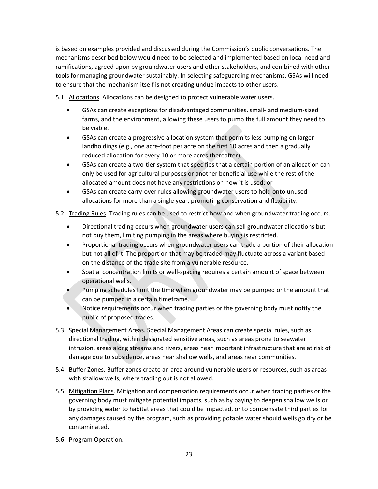is based on examples provided and discussed during the Commission's public conversations. The mechanisms described below would need to be selected and implemented based on local need and ramifications, agreed upon by groundwater users and other stakeholders, and combined with other tools for managing groundwater sustainably. In selecting safeguarding mechanisms, GSAs will need to ensure that the mechanism itself is not creating undue impacts to other users.

5.1. Allocations. Allocations can be designed to protect vulnerable water users.

- GSAs can create exceptions for disadvantaged communities, small- and medium-sized farms, and the environment, allowing these users to pump the full amount they need to be viable.
- GSAs can create a progressive allocation system that permits less pumping on larger landholdings (e.g., one acre-foot per acre on the first 10 acres and then a gradually reduced allocation for every 10 or more acres thereafter);
- GSAs can create a two-tier system that specifies that a certain portion of an allocation can only be used for agricultural purposes or another beneficial use while the rest of the allocated amount does not have any restrictions on how it is used; or
- GSAs can create carry-over rules allowing groundwater users to hold onto unused allocations for more than a single year, promoting conservation and flexibility.

#### 5.2. Trading Rules. Trading rules can be used to restrict how and when groundwater trading occurs.

- Directional trading occurs when groundwater users can sell groundwater allocations but not buy them, limiting pumping in the areas where buying is restricted.
- Proportional trading occurs when groundwater users can trade a portion of their allocation but not all of it. The proportion that may be traded may fluctuate across a variant based on the distance of the trade site from a vulnerable resource.
- Spatial concentration limits or well-spacing requires a certain amount of space between operational wells.
- Pumping schedules limit the time when groundwater may be pumped or the amount that can be pumped in a certain timeframe.
- Notice requirements occur when trading parties or the governing body must notify the public of proposed trades.
- 5.3. Special Management Areas. Special Management Areas can create special rules, such as directional trading, within designated sensitive areas, such as areas prone to seawater intrusion, areas along streams and rivers, areas near important infrastructure that are at risk of damage due to subsidence, areas near shallow wells, and areas near communities.
- 5.4. Buffer Zones. Buffer zones create an area around vulnerable users or resources, such as areas with shallow wells, where trading out is not allowed.
- 5.5. Mitigation Plans. Mitigation and compensation requirements occur when trading parties or the governing body must mitigate potential impacts, such as by paying to deepen shallow wells or by providing water to habitat areas that could be impacted, or to compensate third parties for any damages caused by the program, such as providing potable water should wells go dry or be contaminated.
- 5.6. Program Operation.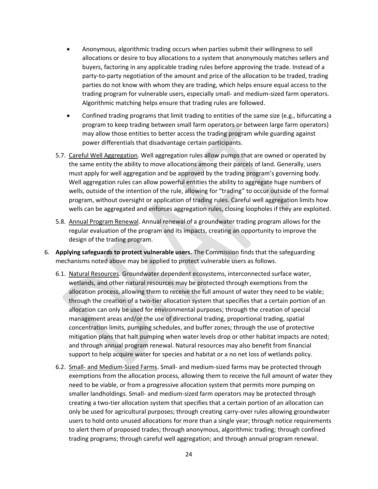- Anonymous, algorithmic trading occurs when parties submit their willingness to sell allocations or desire to buy allocations to a system that anonymously matches sellers and buyers, factoring in any applicable trading rules before approving the trade. Instead of a party-to-party negotiation of the amount and price of the allocation to be traded, trading parties do not know with whom they are trading, which helps ensure equal access to the trading program for vulnerable users, especially small- and medium-sized farm operators. Algorithmic matching helps ensure that trading rules are followed.
- Confined trading programs that limit trading to entities of the same size (e.g., bifurcating a program to keep trading between small farm operators or between large farm operators) may allow those entities to better access the trading program while guarding against power differentials that disadvantage certain participants.
- 5.7. Careful Well Aggregation. Well aggregation rules allow pumps that are owned or operated by the same entity the ability to move allocations among their parcels of land. Generally, users must apply for well aggregation and be approved by the trading program's governing body. Well aggregation rules can allow powerful entities the ability to aggregate huge numbers of wells, outside of the intention of the rule, allowing for "trading" to occur outside of the formal program, without oversight or application of trading rules. Careful well aggregation limits how wells can be aggregated and enforces aggregation rules, closing loopholes if they are exploited.
- 5.8. Annual Program Renewal. Annual renewal of a groundwater trading program allows for the regular evaluation of the program and its impacts, creating an opportunity to improve the design of the trading program.
- 6. **Applying safeguards to protect vulnerable users.** The Commission finds that the safeguarding mechanisms noted above may be applied to protect vulnerable users as follows.
	- 6.1. Natural Resources. Groundwater dependent ecosystems, interconnected surface water, wetlands, and other natural resources may be protected through exemptions from the allocation process, allowing them to receive the full amount of water they need to be viable; through the creation of a two-tier allocation system that specifies that a certain portion of an allocation can only be used for environmental purposes; through the creation of special management areas and/or the use of directional trading, proportional trading, spatial concentration limits, pumping schedules, and buffer zones; through the use of protective mitigation plans that halt pumping when water levels drop or other habitat impacts are noted; and through annual program renewal. Natural resources may also benefit from financial support to help acquire water for species and habitat or a no net loss of wetlands policy.
	- 6.2. Small- and Medium-Sized Farms. Small- and medium-sized farms may be protected through exemptions from the allocation process, allowing them to receive the full amount of water they need to be viable, or from a progressive allocation system that permits more pumping on smaller landholdings. Small- and medium-sized farm operators may be protected through creating a two-tier allocation system that specifies that a certain portion of an allocation can only be used for agricultural purposes; through creating carry-over rules allowing groundwater users to hold onto unused allocations for more than a single year; through notice requirements to alert them of proposed trades; through anonymous, algorithmic trading; through confined trading programs; through careful well aggregation; and through annual program renewal.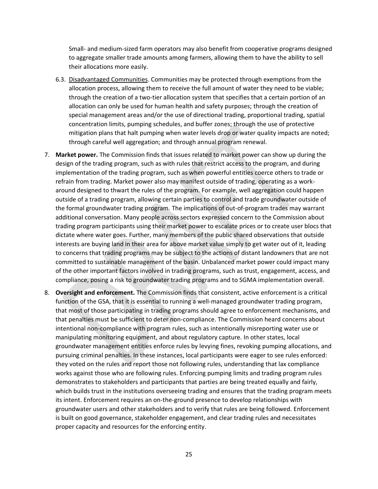Small- and medium-sized farm operators may also benefit from cooperative programs designed to aggregate smaller trade amounts among farmers, allowing them to have the ability to sell their allocations more easily.

- 6.3. Disadvantaged Communities. Communities may be protected through exemptions from the allocation process, allowing them to receive the full amount of water they need to be viable; through the creation of a two-tier allocation system that specifies that a certain portion of an allocation can only be used for human health and safety purposes; through the creation of special management areas and/or the use of directional trading, proportional trading, spatial concentration limits, pumping schedules, and buffer zones; through the use of protective mitigation plans that halt pumping when water levels drop or water quality impacts are noted; through careful well aggregation; and through annual program renewal.
- 7. **Market power.** The Commission finds that issues related to market power can show up during the design of the trading program, such as with rules that restrict access to the program, and during implementation of the trading program, such as when powerful entities coerce others to trade or refrain from trading. Market power also may manifest outside of trading, operating as a workaround designed to thwart the rules of the program. For example, well aggregation could happen outside of a trading program, allowing certain parties to control and trade groundwater outside of the formal groundwater trading program. The implications of out-of-program trades may warrant additional conversation. Many people across sectors expressed concern to the Commission about trading program participants using their market power to escalate prices or to create user blocs that dictate where water goes. Further, many members of the public shared observations that outside interests are buying land in their area for above market value simply to get water out of it, leading to concerns that trading programs may be subject to the actions of distant landowners that are not committed to sustainable management of the basin. Unbalanced market power could impact many of the other important factors involved in trading programs, such as trust, engagement, access, and compliance, posing a risk to groundwater trading programs and to SGMA implementation overall.
- 8. **Oversight and enforcement.** The Commission finds that consistent, active enforcement is a critical function of the GSA, that it is essential to running a well-managed groundwater trading program, that most of those participating in trading programs should agree to enforcement mechanisms, and that penalties must be sufficient to deter non-compliance. The Commission heard concerns about intentional non-compliance with program rules, such as intentionally misreporting water use or manipulating monitoring equipment, and about regulatory capture. In other states, local groundwater management entities enforce rules by levying fines, revoking pumping allocations, and pursuing criminal penalties. In these instances, local participants were eager to see rules enforced: they voted on the rules and report those not following rules, understanding that lax compliance works against those who are following rules. Enforcing pumping limits and trading program rules demonstrates to stakeholders and participants that parties are being treated equally and fairly, which builds trust in the institutions overseeing trading and ensures that the trading program meets its intent. Enforcement requires an on-the-ground presence to develop relationships with groundwater users and other stakeholders and to verify that rules are being followed. Enforcement is built on good governance, stakeholder engagement, and clear trading rules and necessitates proper capacity and resources for the enforcing entity.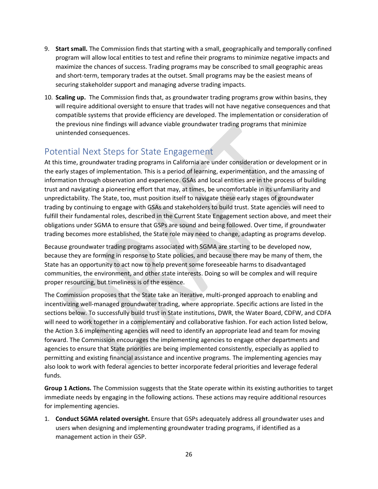- 9. **Start small.** The Commission finds that starting with a small, geographically and temporally confined program will allow local entities to test and refine their programs to minimize negative impacts and maximize the chances of success. Trading programs may be conscribed to small geographic areas and short-term, temporary trades at the outset. Small programs may be the easiest means of securing stakeholder support and managing adverse trading impacts.
- 10. **Scaling up.** The Commission finds that, as groundwater trading programs grow within basins, they will require additional oversight to ensure that trades will not have negative consequences and that compatible systems that provide efficiency are developed. The implementation or consideration of the previous nine findings will advance viable groundwater trading programs that minimize unintended consequences.

### <span id="page-25-0"></span>Potential Next Steps for State Engagement

At this time, groundwater trading programs in California are under consideration or development or in the early stages of implementation. This is a period of learning, experimentation, and the amassing of information through observation and experience. GSAs and local entities are in the process of building trust and navigating a pioneering effort that may, at times, be uncomfortable in its unfamiliarity and unpredictability. The State, too, must position itself to navigate these early stages of groundwater trading by continuing to engage with GSAs and stakeholders to build trust. State agencies will need to fulfill their fundamental roles, described in the Current State Engagement section above, and meet their obligations under SGMA to ensure that GSPs are sound and being followed. Over time, if groundwater trading becomes more established, the State role may need to change, adapting as programs develop.

Because groundwater trading programs associated with SGMA are starting to be developed now, because they are forming in response to State policies, and because there may be many of them, the State has an opportunity to act now to help prevent some foreseeable harms to disadvantaged communities, the environment, and other state interests. Doing so will be complex and will require proper resourcing, but timeliness is of the essence.

The Commission proposes that the State take an iterative, multi-pronged approach to enabling and incentivizing well-managed groundwater trading, where appropriate. Specific actions are listed in the sections below. To successfully build trust in State institutions, DWR, the Water Board, CDFW, and CDFA will need to work together in a complementary and collaborative fashion. For each action listed below, the Action 3.6 implementing agencies will need to identify an appropriate lead and team for moving forward. The Commission encourages the implementing agencies to engage other departments and agencies to ensure that State priorities are being implemented consistently, especially as applied to permitting and existing financial assistance and incentive programs. The implementing agencies may also look to work with federal agencies to better incorporate federal priorities and leverage federal funds.

**Group 1 Actions.** The Commission suggests that the State operate within its existing authorities to target immediate needs by engaging in the following actions. These actions may require additional resources for implementing agencies.

1. **Conduct SGMA related oversight.** Ensure that GSPs adequately address all groundwater uses and users when designing and implementing groundwater trading programs, if identified as a management action in their GSP.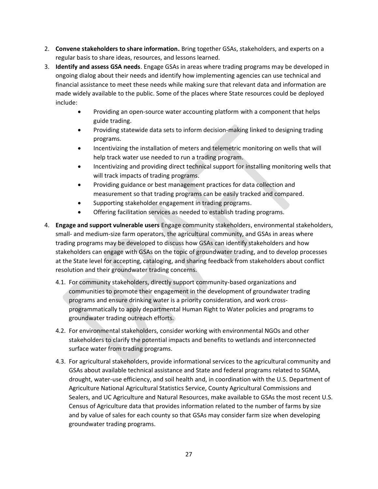- 2. **Convene stakeholders to share information.** Bring together GSAs, stakeholders, and experts on a regular basis to share ideas, resources, and lessons learned.
- 3. **Identify and assess GSA needs**. Engage GSAs in areas where trading programs may be developed in ongoing dialog about their needs and identify how implementing agencies can use technical and financial assistance to meet these needs while making sure that relevant data and information are made widely available to the public. Some of the places where State resources could be deployed include:
	- Providing an open-source water accounting platform with a component that helps guide trading.
	- Providing statewide data sets to inform decision-making linked to designing trading programs.
	- Incentivizing the installation of meters and telemetric monitoring on wells that will help track water use needed to run a trading program.
	- Incentivizing and providing direct technical support for installing monitoring wells that will track impacts of trading programs.
	- Providing guidance or best management practices for data collection and measurement so that trading programs can be easily tracked and compared.
	- Supporting stakeholder engagement in trading programs.
	- Offering facilitation services as needed to establish trading programs.
- 4. **Engage and support vulnerable users** Engage community stakeholders, environmental stakeholders, small- and medium-size farm operators, the agricultural community, and GSAs in areas where trading programs may be developed to discuss how GSAs can identify stakeholders and how stakeholders can engage with GSAs on the topic of groundwater trading, and to develop processes at the State level for accepting, cataloging, and sharing feedback from stakeholders about conflict resolution and their groundwater trading concerns.
	- 4.1. For community stakeholders, directly support community-based organizations and communities to promote their engagement in the development of groundwater trading programs and ensure drinking water is a priority consideration, and work crossprogrammatically to apply departmental Human Right to Water policies and programs to groundwater trading outreach efforts.
	- 4.2. For environmental stakeholders, consider working with environmental NGOs and other stakeholders to clarify the potential impacts and benefits to wetlands and interconnected surface water from trading programs.
	- 4.3. For agricultural stakeholders, provide informational services to the agricultural community and GSAs about available technical assistance and State and federal programs related to SGMA, drought, water-use efficiency, and soil health and, in coordination with the U.S. Department of Agriculture National Agricultural Statistics Service, County Agricultural Commissions and Sealers, and UC Agriculture and Natural Resources, make available to GSAs the most recent U.S. Census of Agriculture data that provides information related to the number of farms by size and by value of sales for each county so that GSAs may consider farm size when developing groundwater trading programs.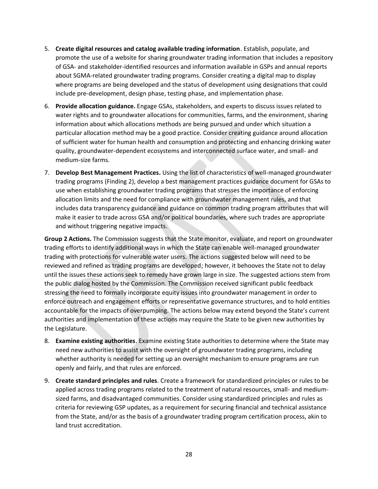- 5. **Create digital resources and catalog available trading information**. Establish, populate, and promote the use of a website for sharing groundwater trading information that includes a repository of GSA- and stakeholder-identified resources and information available in GSPs and annual reports about SGMA-related groundwater trading programs. Consider creating a digital map to display where programs are being developed and the status of development using designations that could include pre-development, design phase, testing phase, and implementation phase.
- 6. **Provide allocation guidance.** Engage GSAs, stakeholders, and experts to discuss issues related to water rights and to groundwater allocations for communities, farms, and the environment, sharing information about which allocations methods are being pursued and under which situation a particular allocation method may be a good practice. Consider creating guidance around allocation of sufficient water for human health and consumption and protecting and enhancing drinking water quality, groundwater-dependent ecosystems and interconnected surface water, and small- and medium-size farms.
- 7. **Develop Best Management Practices.** Using the list of characteristics of well-managed groundwater trading programs (Finding 2), develop a best management practices guidance document for GSAs to use when establishing groundwater trading programs that stresses the importance of enforcing allocation limits and the need for compliance with groundwater management rules, and that includes data transparency guidance and guidance on common trading program attributes that will make it easier to trade across GSA and/or political boundaries, where such trades are appropriate and without triggering negative impacts.

**Group 2 Actions.** The Commission suggests that the State monitor, evaluate, and report on groundwater trading efforts to identify additional ways in which the State can enable well-managed groundwater trading with protections for vulnerable water users. The actions suggested below will need to be reviewed and refined as trading programs are developed; however, it behooves the State not to delay until the issues these actions seek to remedy have grown large in size. The suggested actions stem from the public dialog hosted by the Commission. The Commission received significant public feedback stressing the need to formally incorporate equity issues into groundwater management in order to enforce outreach and engagement efforts or representative governance structures, and to hold entities accountable for the impacts of overpumping. The actions below may extend beyond the State's current authorities and implementation of these actions may require the State to be given new authorities by the Legislature.

- 8. **Examine existing authorities**. Examine existing State authorities to determine where the State may need new authorities to assist with the oversight of groundwater trading programs, including whether authority is needed for setting up an oversight mechanism to ensure programs are run openly and fairly, and that rules are enforced.
- 9. **Create standard principles and rules**. Create a framework for standardized principles or rules to be applied across trading programs related to the treatment of natural resources, small- and mediumsized farms, and disadvantaged communities. Consider using standardized principles and rules as criteria for reviewing GSP updates, as a requirement for securing financial and technical assistance from the State, and/or as the basis of a groundwater trading program certification process, akin to land trust accreditation.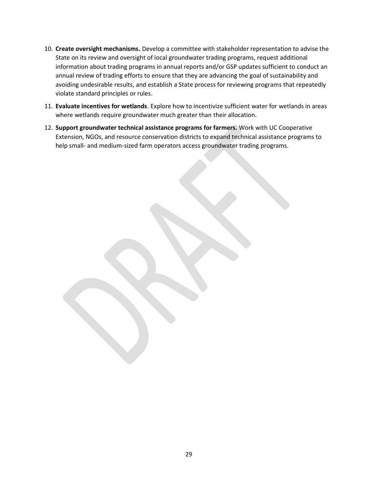- 10. **Create oversight mechanisms.** Develop a committee with stakeholder representation to advise the State on its review and oversight of local groundwater trading programs, request additional information about trading programs in annual reports and/or GSP updates sufficient to conduct an annual review of trading efforts to ensure that they are advancing the goal of sustainability and avoiding undesirable results, and establish a State process for reviewing programs that repeatedly violate standard principles or rules.
- 11. **Evaluate incentives for wetlands**. Explore how to incentivize sufficient water for wetlands in areas where wetlands require groundwater much greater than their allocation.
- 12. **Support groundwater technical assistance programs for farmers.** Work with UC Cooperative Extension, NGOs, and resource conservation districts to expand technical assistance programs to help small- and medium-sized farm operators access groundwater trading programs.